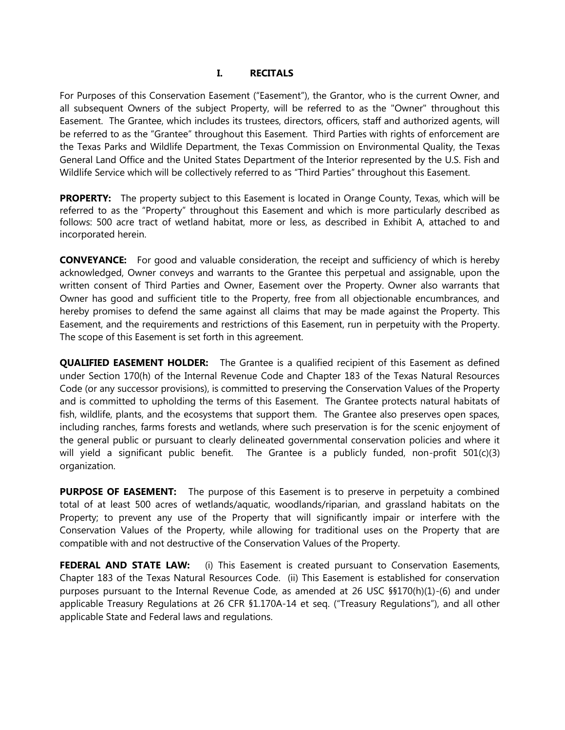#### **I. RECITALS**

For Purposes of this Conservation Easement ("Easement"), the Grantor, who is the current Owner, and all subsequent Owners of the subject Property, will be referred to as the "Owner" throughout this Easement. The Grantee, which includes its trustees, directors, officers, staff and authorized agents, will be referred to as the "Grantee" throughout this Easement. Third Parties with rights of enforcement are the Texas Parks and Wildlife Department, the Texas Commission on Environmental Quality, the Texas General Land Office and the United States Department of the Interior represented by the U.S. Fish and Wildlife Service which will be collectively referred to as "Third Parties" throughout this Easement.

**PROPERTY:** The property subject to this Easement is located in Orange County, Texas, which will be referred to as the "Property" throughout this Easement and which is more particularly described as follows: 500 acre tract of wetland habitat, more or less, as described in Exhibit A, attached to and incorporated herein.

**CONVEYANCE:** For good and valuable consideration, the receipt and sufficiency of which is hereby acknowledged, Owner conveys and warrants to the Grantee this perpetual and assignable, upon the written consent of Third Parties and Owner, Easement over the Property. Owner also warrants that Owner has good and sufficient title to the Property, free from all objectionable encumbrances, and hereby promises to defend the same against all claims that may be made against the Property. This Easement, and the requirements and restrictions of this Easement, run in perpetuity with the Property. The scope of this Easement is set forth in this agreement.

**QUALIFIED EASEMENT HOLDER:** The Grantee is a qualified recipient of this Easement as defined under Section 170(h) of the Internal Revenue Code and Chapter 183 of the Texas Natural Resources Code (or any successor provisions), is committed to preserving the Conservation Values of the Property and is committed to upholding the terms of this Easement. The Grantee protects natural habitats of fish, wildlife, plants, and the ecosystems that support them. The Grantee also preserves open spaces, including ranches, farms forests and wetlands, where such preservation is for the scenic enjoyment of the general public or pursuant to clearly delineated governmental conservation policies and where it will yield a significant public benefit. The Grantee is a publicly funded, non-profit 501(c)(3) organization.

**PURPOSE OF EASEMENT:** The purpose of this Easement is to preserve in perpetuity a combined total of at least 500 acres of wetlands/aquatic, woodlands/riparian, and grassland habitats on the Property; to prevent any use of the Property that will significantly impair or interfere with the Conservation Values of the Property, while allowing for traditional uses on the Property that are compatible with and not destructive of the Conservation Values of the Property.

**FEDERAL AND STATE LAW:** (i) This Easement is created pursuant to Conservation Easements, Chapter 183 of the Texas Natural Resources Code. (ii) This Easement is established for conservation purposes pursuant to the Internal Revenue Code, as amended at 26 USC §§170(h)(1)-(6) and under applicable Treasury Regulations at 26 CFR §1.170A-14 et seq. ("Treasury Regulations"), and all other applicable State and Federal laws and regulations.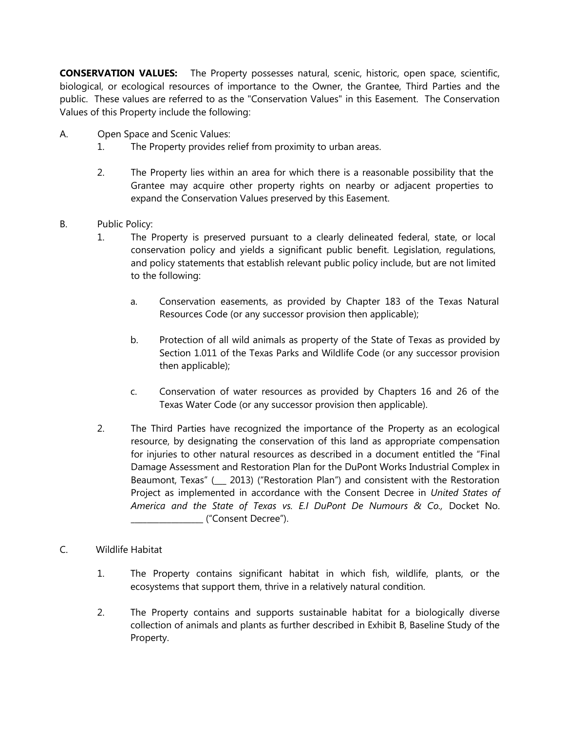**CONSERVATION VALUES:** The Property possesses natural, scenic, historic, open space, scientific, biological, or ecological resources of importance to the Owner, the Grantee, Third Parties and the public. These values are referred to as the "Conservation Values" in this Easement. The Conservation Values of this Property include the following:

- A. Open Space and Scenic Values:
	- 1. The Property provides relief from proximity to urban areas.
	- 2. The Property lies within an area for which there is a reasonable possibility that the Grantee may acquire other property rights on nearby or adjacent properties to expand the Conservation Values preserved by this Easement.
- B. Public Policy:
	- 1. The Property is preserved pursuant to a clearly delineated federal, state, or local conservation policy and yields a significant public benefit. Legislation, regulations, and policy statements that establish relevant public policy include, but are not limited to the following:
		- a. Conservation easements, as provided by Chapter 183 of the Texas Natural Resources Code (or any successor provision then applicable);
		- b. Protection of all wild animals as property of the State of Texas as provided by Section 1.011 of the Texas Parks and Wildlife Code (or any successor provision then applicable);
		- c. Conservation of water resources as provided by Chapters 16 and 26 of the Texas Water Code (or any successor provision then applicable).
	- 2. The Third Parties have recognized the importance of the Property as an ecological resource, by designating the conservation of this land as appropriate compensation for injuries to other natural resources as described in a document entitled the "Final Damage Assessment and Restoration Plan for the DuPont Works Industrial Complex in Beaumont, Texas" (\_\_\_ 2013) ("Restoration Plan") and consistent with the Restoration Project as implemented in accordance with the Consent Decree in *United States of America and the State of Texas vs. E.I DuPont De Numours & Co.,* Docket No. \_\_\_\_\_\_\_\_\_\_\_\_\_\_\_\_\_\_ ("Consent Decree").
- C. Wildlife Habitat
	- 1. The Property contains significant habitat in which fish, wildlife, plants, or the ecosystems that support them, thrive in a relatively natural condition.
	- 2. The Property contains and supports sustainable habitat for a biologically diverse collection of animals and plants as further described in Exhibit B, Baseline Study of the Property.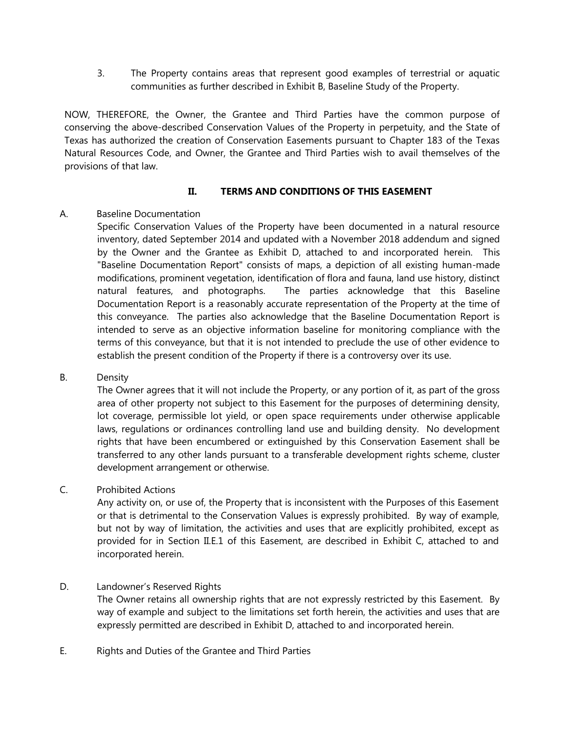3. The Property contains areas that represent good examples of terrestrial or aquatic communities as further described in Exhibit B, Baseline Study of the Property.

NOW, THEREFORE, the Owner, the Grantee and Third Parties have the common purpose of conserving the above-described Conservation Values of the Property in perpetuity, and the State of Texas has authorized the creation of Conservation Easements pursuant to Chapter 183 of the Texas Natural Resources Code, and Owner, the Grantee and Third Parties wish to avail themselves of the provisions of that law.

### **II. TERMS AND CONDITIONS OF THIS EASEMENT**

### A. Baseline Documentation

Specific Conservation Values of the Property have been documented in a natural resource inventory, dated September 2014 and updated with a November 2018 addendum and signed by the Owner and the Grantee as Exhibit D, attached to and incorporated herein. This "Baseline Documentation Report" consists of maps, a depiction of all existing human-made modifications, prominent vegetation, identification of flora and fauna, land use history, distinct natural features, and photographs. The parties acknowledge that this Baseline Documentation Report is a reasonably accurate representation of the Property at the time of this conveyance. The parties also acknowledge that the Baseline Documentation Report is intended to serve as an objective information baseline for monitoring compliance with the terms of this conveyance, but that it is not intended to preclude the use of other evidence to establish the present condition of the Property if there is a controversy over its use.

### B. Density

The Owner agrees that it will not include the Property, or any portion of it, as part of the gross area of other property not subject to this Easement for the purposes of determining density, lot coverage, permissible lot yield, or open space requirements under otherwise applicable laws, regulations or ordinances controlling land use and building density. No development rights that have been encumbered or extinguished by this Conservation Easement shall be transferred to any other lands pursuant to a transferable development rights scheme, cluster development arrangement or otherwise.

## C. Prohibited Actions

Any activity on, or use of, the Property that is inconsistent with the Purposes of this Easement or that is detrimental to the Conservation Values is expressly prohibited. By way of example, but not by way of limitation, the activities and uses that are explicitly prohibited, except as provided for in Section II.E.1 of this Easement, are described in Exhibit C, attached to and incorporated herein.

### D. Landowner's Reserved Rights

The Owner retains all ownership rights that are not expressly restricted by this Easement. By way of example and subject to the limitations set forth herein, the activities and uses that are expressly permitted are described in Exhibit D, attached to and incorporated herein.

E. Rights and Duties of the Grantee and Third Parties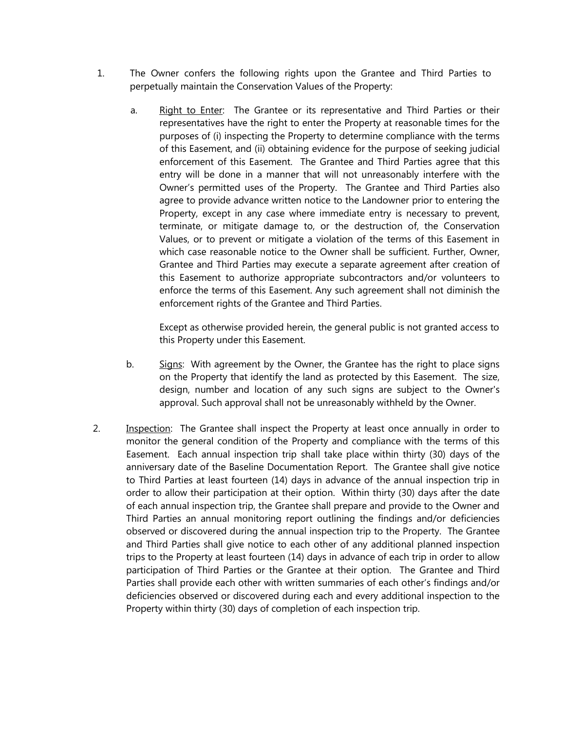- 1. The Owner confers the following rights upon the Grantee and Third Parties to perpetually maintain the Conservation Values of the Property:
	- a. Right to Enter: The Grantee or its representative and Third Parties or their representatives have the right to enter the Property at reasonable times for the purposes of (i) inspecting the Property to determine compliance with the terms of this Easement, and (ii) obtaining evidence for the purpose of seeking judicial enforcement of this Easement. The Grantee and Third Parties agree that this entry will be done in a manner that will not unreasonably interfere with the Owner's permitted uses of the Property. The Grantee and Third Parties also agree to provide advance written notice to the Landowner prior to entering the Property, except in any case where immediate entry is necessary to prevent, terminate, or mitigate damage to, or the destruction of, the Conservation Values, or to prevent or mitigate a violation of the terms of this Easement in which case reasonable notice to the Owner shall be sufficient. Further, Owner, Grantee and Third Parties may execute a separate agreement after creation of this Easement to authorize appropriate subcontractors and/or volunteers to enforce the terms of this Easement. Any such agreement shall not diminish the enforcement rights of the Grantee and Third Parties.

Except as otherwise provided herein, the general public is not granted access to this Property under this Easement.

- b. Signs: With agreement by the Owner, the Grantee has the right to place signs on the Property that identify the land as protected by this Easement. The size, design, number and location of any such signs are subject to the Owner's approval. Such approval shall not be unreasonably withheld by the Owner.
- 2. Inspection: The Grantee shall inspect the Property at least once annually in order to monitor the general condition of the Property and compliance with the terms of this Easement. Each annual inspection trip shall take place within thirty (30) days of the anniversary date of the Baseline Documentation Report. The Grantee shall give notice to Third Parties at least fourteen (14) days in advance of the annual inspection trip in order to allow their participation at their option. Within thirty (30) days after the date of each annual inspection trip, the Grantee shall prepare and provide to the Owner and Third Parties an annual monitoring report outlining the findings and/or deficiencies observed or discovered during the annual inspection trip to the Property. The Grantee and Third Parties shall give notice to each other of any additional planned inspection trips to the Property at least fourteen (14) days in advance of each trip in order to allow participation of Third Parties or the Grantee at their option. The Grantee and Third Parties shall provide each other with written summaries of each other's findings and/or deficiencies observed or discovered during each and every additional inspection to the Property within thirty (30) days of completion of each inspection trip.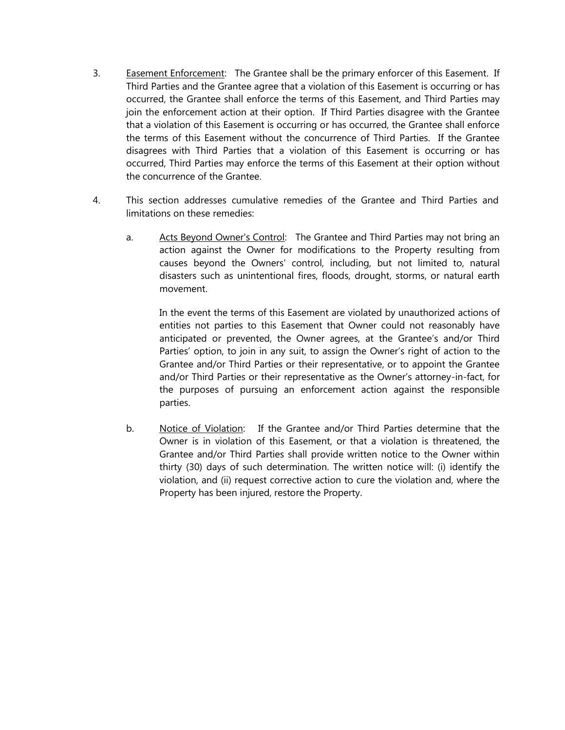- 3. Easement Enforcement: The Grantee shall be the primary enforcer of this Easement. If Third Parties and the Grantee agree that a violation of this Easement is occurring or has occurred, the Grantee shall enforce the terms of this Easement, and Third Parties may join the enforcement action at their option. If Third Parties disagree with the Grantee that a violation of this Easement is occurring or has occurred, the Grantee shall enforce the terms of this Easement without the concurrence of Third Parties. If the Grantee disagrees with Third Parties that a violation of this Easement is occurring or has occurred, Third Parties may enforce the terms of this Easement at their option without the concurrence of the Grantee.
- 4. This section addresses cumulative remedies of the Grantee and Third Parties and limitations on these remedies:
	- a. Acts Beyond Owner's Control: The Grantee and Third Parties may not bring an action against the Owner for modifications to the Property resulting from causes beyond the Owners' control, including, but not limited to, natural disasters such as unintentional fires, floods, drought, storms, or natural earth movement.

In the event the terms of this Easement are violated by unauthorized actions of entities not parties to this Easement that Owner could not reasonably have anticipated or prevented, the Owner agrees, at the Grantee's and/or Third Parties' option, to join in any suit, to assign the Owner's right of action to the Grantee and/or Third Parties or their representative, or to appoint the Grantee and/or Third Parties or their representative as the Owner's attorney-in-fact, for the purposes of pursuing an enforcement action against the responsible parties.

b. Notice of Violation: If the Grantee and/or Third Parties determine that the Owner is in violation of this Easement, or that a violation is threatened, the Grantee and/or Third Parties shall provide written notice to the Owner within thirty (30) days of such determination. The written notice will: (i) identify the violation, and (ii) request corrective action to cure the violation and, where the Property has been injured, restore the Property.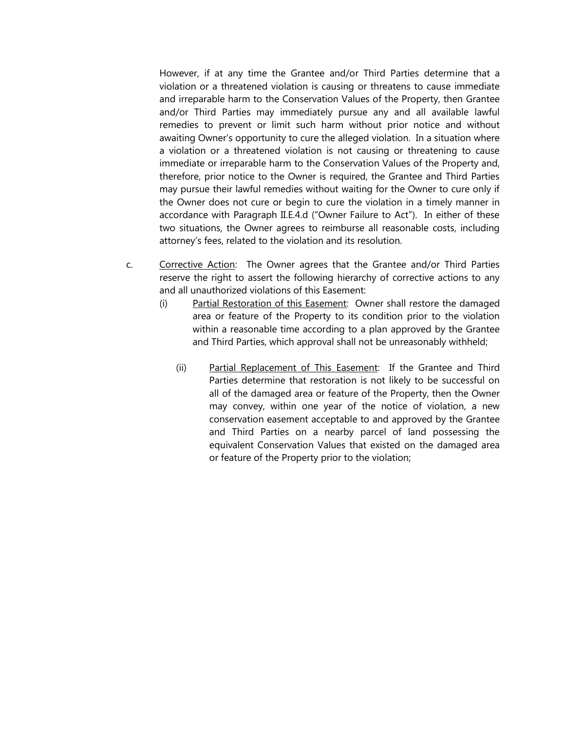However, if at any time the Grantee and/or Third Parties determine that a violation or a threatened violation is causing or threatens to cause immediate and irreparable harm to the Conservation Values of the Property, then Grantee and/or Third Parties may immediately pursue any and all available lawful remedies to prevent or limit such harm without prior notice and without awaiting Owner's opportunity to cure the alleged violation. In a situation where a violation or a threatened violation is not causing or threatening to cause immediate or irreparable harm to the Conservation Values of the Property and, therefore, prior notice to the Owner is required, the Grantee and Third Parties may pursue their lawful remedies without waiting for the Owner to cure only if the Owner does not cure or begin to cure the violation in a timely manner in accordance with Paragraph II.E.4.d ("Owner Failure to Act"). In either of these two situations, the Owner agrees to reimburse all reasonable costs, including attorney's fees, related to the violation and its resolution.

- c. Corrective Action: The Owner agrees that the Grantee and/or Third Parties reserve the right to assert the following hierarchy of corrective actions to any and all unauthorized violations of this Easement:
	- (i) Partial Restoration of this Easement: Owner shall restore the damaged area or feature of the Property to its condition prior to the violation within a reasonable time according to a plan approved by the Grantee and Third Parties, which approval shall not be unreasonably withheld;
		- (ii) Partial Replacement of This Easement: If the Grantee and Third Parties determine that restoration is not likely to be successful on all of the damaged area or feature of the Property, then the Owner may convey, within one year of the notice of violation, a new conservation easement acceptable to and approved by the Grantee and Third Parties on a nearby parcel of land possessing the equivalent Conservation Values that existed on the damaged area or feature of the Property prior to the violation;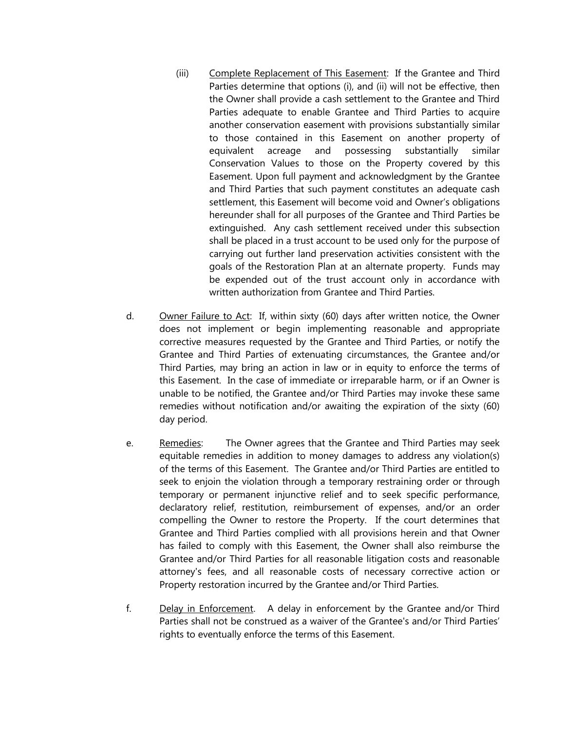- (iii) Complete Replacement of This Easement: If the Grantee and Third Parties determine that options (i), and (ii) will not be effective, then the Owner shall provide a cash settlement to the Grantee and Third Parties adequate to enable Grantee and Third Parties to acquire another conservation easement with provisions substantially similar to those contained in this Easement on another property of equivalent acreage and possessing substantially similar Conservation Values to those on the Property covered by this Easement. Upon full payment and acknowledgment by the Grantee and Third Parties that such payment constitutes an adequate cash settlement, this Easement will become void and Owner's obligations hereunder shall for all purposes of the Grantee and Third Parties be extinguished. Any cash settlement received under this subsection shall be placed in a trust account to be used only for the purpose of carrying out further land preservation activities consistent with the goals of the Restoration Plan at an alternate property. Funds may be expended out of the trust account only in accordance with written authorization from Grantee and Third Parties.
- d. Owner Failure to Act: If, within sixty (60) days after written notice, the Owner does not implement or begin implementing reasonable and appropriate corrective measures requested by the Grantee and Third Parties, or notify the Grantee and Third Parties of extenuating circumstances, the Grantee and/or Third Parties, may bring an action in law or in equity to enforce the terms of this Easement. In the case of immediate or irreparable harm, or if an Owner is unable to be notified, the Grantee and/or Third Parties may invoke these same remedies without notification and/or awaiting the expiration of the sixty (60) day period.
- e. Remedies: The Owner agrees that the Grantee and Third Parties may seek equitable remedies in addition to money damages to address any violation(s) of the terms of this Easement. The Grantee and/or Third Parties are entitled to seek to enjoin the violation through a temporary restraining order or through temporary or permanent injunctive relief and to seek specific performance, declaratory relief, restitution, reimbursement of expenses, and/or an order compelling the Owner to restore the Property. If the court determines that Grantee and Third Parties complied with all provisions herein and that Owner has failed to comply with this Easement, the Owner shall also reimburse the Grantee and/or Third Parties for all reasonable litigation costs and reasonable attorney's fees, and all reasonable costs of necessary corrective action or Property restoration incurred by the Grantee and/or Third Parties.
- f. Delay in Enforcement. A delay in enforcement by the Grantee and/or Third Parties shall not be construed as a waiver of the Grantee's and/or Third Parties' rights to eventually enforce the terms of this Easement.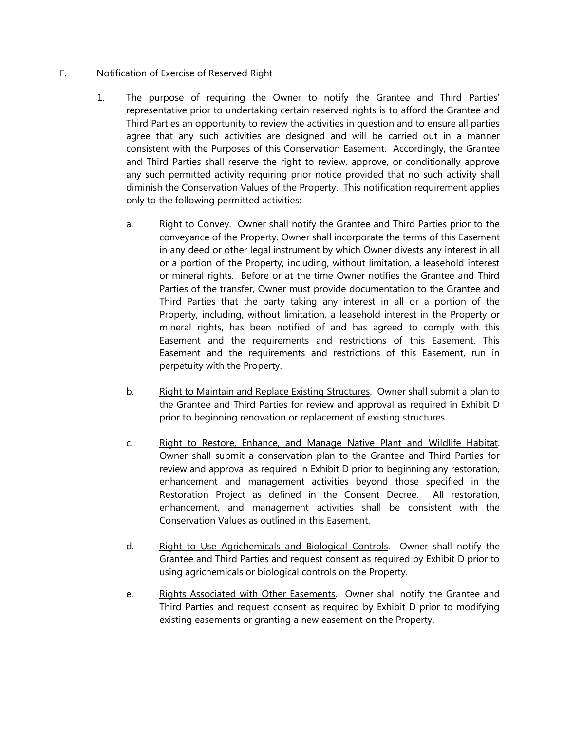### F. Notification of Exercise of Reserved Right

- 1. The purpose of requiring the Owner to notify the Grantee and Third Parties' representative prior to undertaking certain reserved rights is to afford the Grantee and Third Parties an opportunity to review the activities in question and to ensure all parties agree that any such activities are designed and will be carried out in a manner consistent with the Purposes of this Conservation Easement. Accordingly, the Grantee and Third Parties shall reserve the right to review, approve, or conditionally approve any such permitted activity requiring prior notice provided that no such activity shall diminish the Conservation Values of the Property. This notification requirement applies only to the following permitted activities:
	- a. Right to Convey. Owner shall notify the Grantee and Third Parties prior to the conveyance of the Property. Owner shall incorporate the terms of this Easement in any deed or other legal instrument by which Owner divests any interest in all or a portion of the Property, including, without limitation, a leasehold interest or mineral rights. Before or at the time Owner notifies the Grantee and Third Parties of the transfer, Owner must provide documentation to the Grantee and Third Parties that the party taking any interest in all or a portion of the Property, including, without limitation, a leasehold interest in the Property or mineral rights, has been notified of and has agreed to comply with this Easement and the requirements and restrictions of this Easement. This Easement and the requirements and restrictions of this Easement, run in perpetuity with the Property.
	- b. Right to Maintain and Replace Existing Structures. Owner shall submit a plan to the Grantee and Third Parties for review and approval as required in Exhibit D prior to beginning renovation or replacement of existing structures.
	- c. Right to Restore, Enhance, and Manage Native Plant and Wildlife Habitat. Owner shall submit a conservation plan to the Grantee and Third Parties for review and approval as required in Exhibit D prior to beginning any restoration, enhancement and management activities beyond those specified in the Restoration Project as defined in the Consent Decree. All restoration, enhancement, and management activities shall be consistent with the Conservation Values as outlined in this Easement.
	- d. Right to Use Agrichemicals and Biological Controls. Owner shall notify the Grantee and Third Parties and request consent as required by Exhibit D prior to using agrichemicals or biological controls on the Property.
	- e. Rights Associated with Other Easements. Owner shall notify the Grantee and Third Parties and request consent as required by Exhibit D prior to modifying existing easements or granting a new easement on the Property.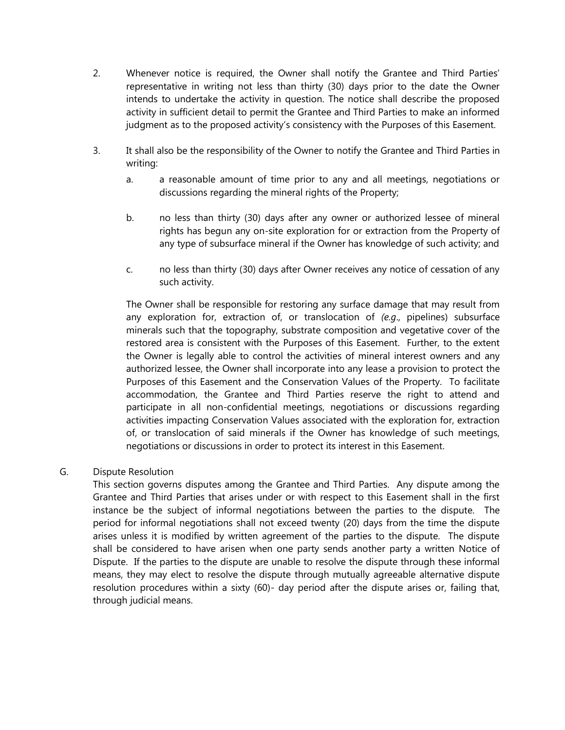- 2. Whenever notice is required, the Owner shall notify the Grantee and Third Parties' representative in writing not less than thirty (30) days prior to the date the Owner intends to undertake the activity in question. The notice shall describe the proposed activity in sufficient detail to permit the Grantee and Third Parties to make an informed judgment as to the proposed activity's consistency with the Purposes of this Easement.
- 3. It shall also be the responsibility of the Owner to notify the Grantee and Third Parties in writing:
	- a. a reasonable amount of time prior to any and all meetings, negotiations or discussions regarding the mineral rights of the Property;
	- b. no less than thirty (30) days after any owner or authorized lessee of mineral rights has begun any on-site exploration for or extraction from the Property of any type of subsurface mineral if the Owner has knowledge of such activity; and
	- c. no less than thirty (30) days after Owner receives any notice of cessation of any such activity.

The Owner shall be responsible for restoring any surface damage that may result from any exploration for, extraction of, or translocation of *(e.g*., pipelines) subsurface minerals such that the topography, substrate composition and vegetative cover of the restored area is consistent with the Purposes of this Easement. Further, to the extent the Owner is legally able to control the activities of mineral interest owners and any authorized lessee, the Owner shall incorporate into any lease a provision to protect the Purposes of this Easement and the Conservation Values of the Property. To facilitate accommodation, the Grantee and Third Parties reserve the right to attend and participate in all non-confidential meetings, negotiations or discussions regarding activities impacting Conservation Values associated with the exploration for, extraction of, or translocation of said minerals if the Owner has knowledge of such meetings, negotiations or discussions in order to protect its interest in this Easement.

### G. Dispute Resolution

This section governs disputes among the Grantee and Third Parties. Any dispute among the Grantee and Third Parties that arises under or with respect to this Easement shall in the first instance be the subject of informal negotiations between the parties to the dispute. The period for informal negotiations shall not exceed twenty (20) days from the time the dispute arises unless it is modified by written agreement of the parties to the dispute. The dispute shall be considered to have arisen when one party sends another party a written Notice of Dispute. If the parties to the dispute are unable to resolve the dispute through these informal means, they may elect to resolve the dispute through mutually agreeable alternative dispute resolution procedures within a sixty (60)- day period after the dispute arises or, failing that, through judicial means.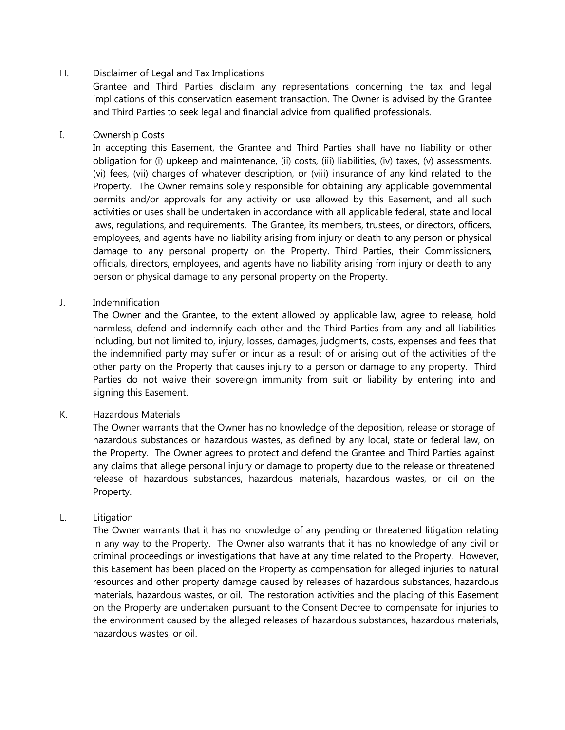### H. Disclaimer of Legal and Tax Implications

Grantee and Third Parties disclaim any representations concerning the tax and legal implications of this conservation easement transaction. The Owner is advised by the Grantee and Third Parties to seek legal and financial advice from qualified professionals.

#### I. Ownership Costs

In accepting this Easement, the Grantee and Third Parties shall have no liability or other obligation for (i) upkeep and maintenance, (ii) costs, (iii) liabilities, (iv) taxes, (v) assessments, (vi) fees, (vii) charges of whatever description, or (viii) insurance of any kind related to the Property. The Owner remains solely responsible for obtaining any applicable governmental permits and/or approvals for any activity or use allowed by this Easement, and all such activities or uses shall be undertaken in accordance with all applicable federal, state and local laws, regulations, and requirements. The Grantee, its members, trustees, or directors, officers, employees, and agents have no liability arising from injury or death to any person or physical damage to any personal property on the Property. Third Parties, their Commissioners, officials, directors, employees, and agents have no liability arising from injury or death to any person or physical damage to any personal property on the Property.

#### J. Indemnification

The Owner and the Grantee, to the extent allowed by applicable law, agree to release, hold harmless, defend and indemnify each other and the Third Parties from any and all liabilities including, but not limited to, injury, losses, damages, judgments, costs, expenses and fees that the indemnified party may suffer or incur as a result of or arising out of the activities of the other party on the Property that causes injury to a person or damage to any property. Third Parties do not waive their sovereign immunity from suit or liability by entering into and signing this Easement.

#### K. Hazardous Materials

The Owner warrants that the Owner has no knowledge of the deposition, release or storage of hazardous substances or hazardous wastes, as defined by any local, state or federal law, on the Property. The Owner agrees to protect and defend the Grantee and Third Parties against any claims that allege personal injury or damage to property due to the release or threatened release of hazardous substances, hazardous materials, hazardous wastes, or oil on the Property.

#### L. Litigation

The Owner warrants that it has no knowledge of any pending or threatened litigation relating in any way to the Property. The Owner also warrants that it has no knowledge of any civil or criminal proceedings or investigations that have at any time related to the Property. However, this Easement has been placed on the Property as compensation for alleged injuries to natural resources and other property damage caused by releases of hazardous substances, hazardous materials, hazardous wastes, or oil. The restoration activities and the placing of this Easement on the Property are undertaken pursuant to the Consent Decree to compensate for injuries to the environment caused by the alleged releases of hazardous substances, hazardous materials, hazardous wastes, or oil.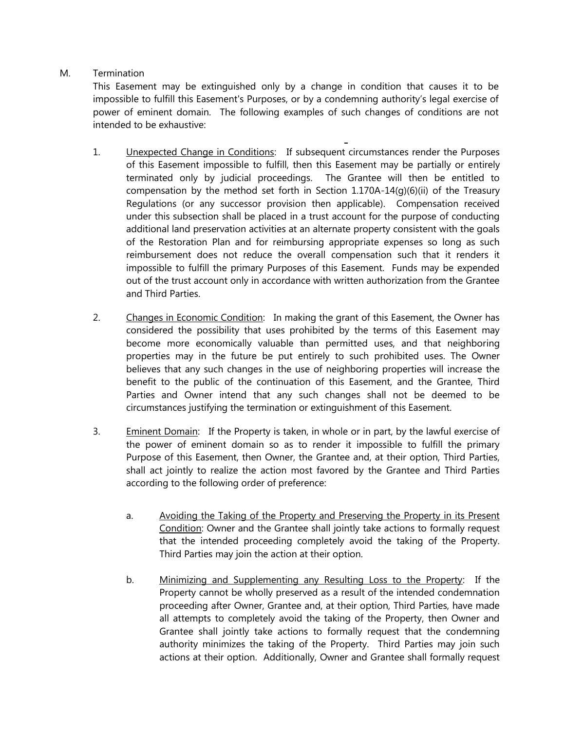# M. Termination

This Easement may be extinguished only by a change in condition that causes it to be impossible to fulfill this Easement's Purposes, or by a condemning authority's legal exercise of power of eminent domain. The following examples of such changes of conditions are not intended to be exhaustive:

- 1. Unexpected Change in Conditions: If subsequent circumstances render the Purposes of this Easement impossible to fulfill, then this Easement may be partially or entirely terminated only by judicial proceedings. The Grantee will then be entitled to compensation by the method set forth in Section  $1.170A-14(q)(6)(ii)$  of the Treasury Regulations (or any successor provision then applicable). Compensation received under this subsection shall be placed in a trust account for the purpose of conducting additional land preservation activities at an alternate property consistent with the goals of the Restoration Plan and for reimbursing appropriate expenses so long as such reimbursement does not reduce the overall compensation such that it renders it impossible to fulfill the primary Purposes of this Easement. Funds may be expended out of the trust account only in accordance with written authorization from the Grantee and Third Parties.
- 2. Changes in Economic Condition: In making the grant of this Easement, the Owner has considered the possibility that uses prohibited by the terms of this Easement may become more economically valuable than permitted uses, and that neighboring properties may in the future be put entirely to such prohibited uses. The Owner believes that any such changes in the use of neighboring properties will increase the benefit to the public of the continuation of this Easement, and the Grantee, Third Parties and Owner intend that any such changes shall not be deemed to be circumstances justifying the termination or extinguishment of this Easement.
- 3. Eminent Domain: If the Property is taken, in whole or in part, by the lawful exercise of the power of eminent domain so as to render it impossible to fulfill the primary Purpose of this Easement, then Owner, the Grantee and, at their option, Third Parties, shall act jointly to realize the action most favored by the Grantee and Third Parties according to the following order of preference:
	- a. Avoiding the Taking of the Property and Preserving the Property in its Present Condition: Owner and the Grantee shall jointly take actions to formally request that the intended proceeding completely avoid the taking of the Property. Third Parties may join the action at their option.
	- b. Minimizing and Supplementing any Resulting Loss to the Property: If the Property cannot be wholly preserved as a result of the intended condemnation proceeding after Owner, Grantee and, at their option, Third Parties, have made all attempts to completely avoid the taking of the Property, then Owner and Grantee shall jointly take actions to formally request that the condemning authority minimizes the taking of the Property. Third Parties may join such actions at their option. Additionally, Owner and Grantee shall formally request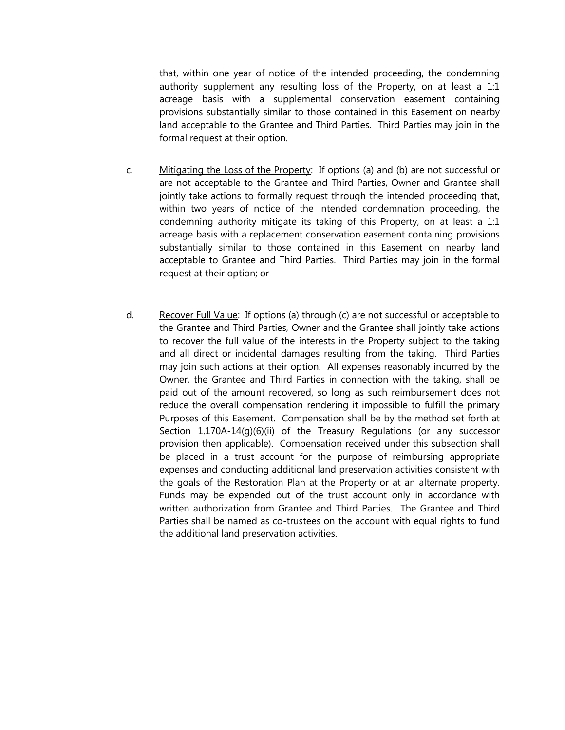that, within one year of notice of the intended proceeding, the condemning authority supplement any resulting loss of the Property, on at least a 1:1 acreage basis with a supplemental conservation easement containing provisions substantially similar to those contained in this Easement on nearby land acceptable to the Grantee and Third Parties. Third Parties may join in the formal request at their option.

- c. Mitigating the Loss of the Property: If options (a) and (b) are not successful or are not acceptable to the Grantee and Third Parties, Owner and Grantee shall jointly take actions to formally request through the intended proceeding that, within two years of notice of the intended condemnation proceeding, the condemning authority mitigate its taking of this Property, on at least a 1:1 acreage basis with a replacement conservation easement containing provisions substantially similar to those contained in this Easement on nearby land acceptable to Grantee and Third Parties. Third Parties may join in the formal request at their option; or
- d. Recover Full Value: If options (a) through (c) are not successful or acceptable to the Grantee and Third Parties, Owner and the Grantee shall jointly take actions to recover the full value of the interests in the Property subject to the taking and all direct or incidental damages resulting from the taking. Third Parties may join such actions at their option. All expenses reasonably incurred by the Owner, the Grantee and Third Parties in connection with the taking, shall be paid out of the amount recovered, so long as such reimbursement does not reduce the overall compensation rendering it impossible to fulfill the primary Purposes of this Easement. Compensation shall be by the method set forth at Section 1.170A-14(g)(6)(ii) of the Treasury Regulations (or any successor provision then applicable). Compensation received under this subsection shall be placed in a trust account for the purpose of reimbursing appropriate expenses and conducting additional land preservation activities consistent with the goals of the Restoration Plan at the Property or at an alternate property. Funds may be expended out of the trust account only in accordance with written authorization from Grantee and Third Parties. The Grantee and Third Parties shall be named as co-trustees on the account with equal rights to fund the additional land preservation activities.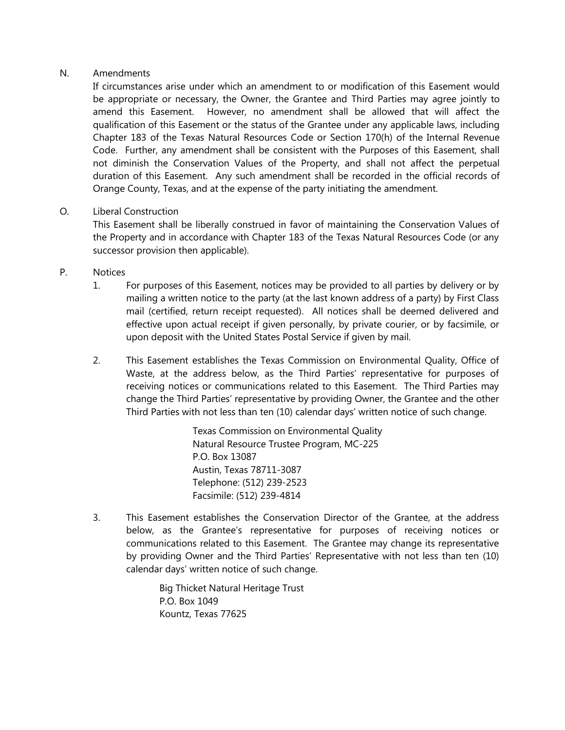### N. Amendments

If circumstances arise under which an amendment to or modification of this Easement would be appropriate or necessary, the Owner, the Grantee and Third Parties may agree jointly to amend this Easement. However, no amendment shall be allowed that will affect the qualification of this Easement or the status of the Grantee under any applicable laws, including Chapter 183 of the Texas Natural Resources Code or Section 170(h) of the Internal Revenue Code. Further, any amendment shall be consistent with the Purposes of this Easement, shall not diminish the Conservation Values of the Property, and shall not affect the perpetual duration of this Easement. Any such amendment shall be recorded in the official records of Orange County, Texas, and at the expense of the party initiating the amendment.

### O. Liberal Construction

This Easement shall be liberally construed in favor of maintaining the Conservation Values of the Property and in accordance with Chapter 183 of the Texas Natural Resources Code (or any successor provision then applicable).

### P. Notices

- 1. For purposes of this Easement, notices may be provided to all parties by delivery or by mailing a written notice to the party (at the last known address of a party) by First Class mail (certified, return receipt requested). All notices shall be deemed delivered and effective upon actual receipt if given personally, by private courier, or by facsimile, or upon deposit with the United States Postal Service if given by mail.
- 2. This Easement establishes the Texas Commission on Environmental Quality, Office of Waste, at the address below, as the Third Parties' representative for purposes of receiving notices or communications related to this Easement. The Third Parties may change the Third Parties' representative by providing Owner, the Grantee and the other Third Parties with not less than ten (10) calendar days' written notice of such change.

Texas Commission on Environmental Quality Natural Resource Trustee Program, MC-225 P.O. Box 13087 Austin, Texas 78711-3087 Telephone: (512) 239-2523 Facsimile: (512) 239-4814

3. This Easement establishes the Conservation Director of the Grantee, at the address below, as the Grantee's representative for purposes of receiving notices or communications related to this Easement. The Grantee may change its representative by providing Owner and the Third Parties' Representative with not less than ten (10) calendar days' written notice of such change.

> Big Thicket Natural Heritage Trust P.O. Box 1049 Kountz, Texas 77625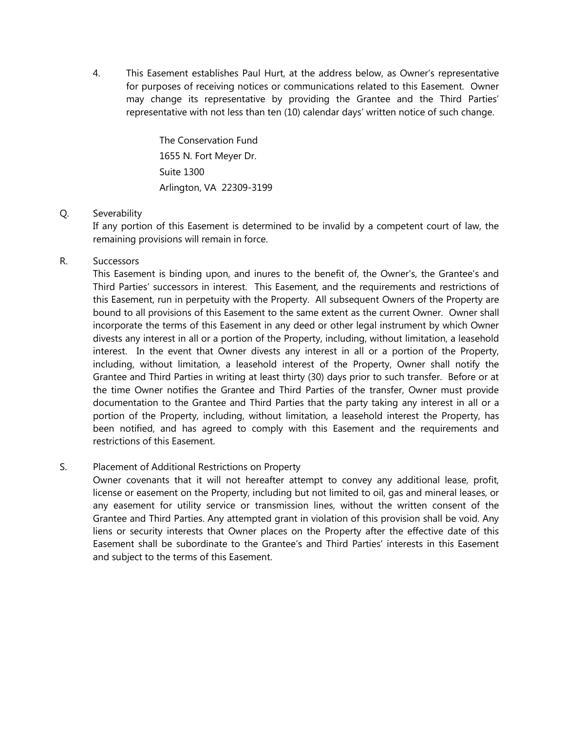4. This Easement establishes Paul Hurt, at the address below, as Owner's representative for purposes of receiving notices or communications related to this Easement. Owner may change its representative by providing the Grantee and the Third Parties' representative with not less than ten (10) calendar days' written notice of such change.

> The Conservation Fund 1655 N. Fort Meyer Dr. Suite 1300 Arlington, VA 22309-3199

### Q. Severability

If any portion of this Easement is determined to be invalid by a competent court of law, the remaining provisions will remain in force.

#### R. Successors

This Easement is binding upon, and inures to the benefit of, the Owner's, the Grantee's and Third Parties' successors in interest. This Easement, and the requirements and restrictions of this Easement, run in perpetuity with the Property. All subsequent Owners of the Property are bound to all provisions of this Easement to the same extent as the current Owner. Owner shall incorporate the terms of this Easement in any deed or other legal instrument by which Owner divests any interest in all or a portion of the Property, including, without limitation, a leasehold interest. In the event that Owner divests any interest in all or a portion of the Property, including, without limitation, a leasehold interest of the Property, Owner shall notify the Grantee and Third Parties in writing at least thirty (30) days prior to such transfer. Before or at the time Owner notifies the Grantee and Third Parties of the transfer, Owner must provide documentation to the Grantee and Third Parties that the party taking any interest in all or a portion of the Property, including, without limitation, a leasehold interest the Property, has been notified, and has agreed to comply with this Easement and the requirements and restrictions of this Easement.

# S. Placement of Additional Restrictions on Property

Owner covenants that it will not hereafter attempt to convey any additional lease, profit, license or easement on the Property, including but not limited to oil, gas and mineral leases, or any easement for utility service or transmission lines, without the written consent of the Grantee and Third Parties. Any attempted grant in violation of this provision shall be void. Any liens or security interests that Owner places on the Property after the effective date of this Easement shall be subordinate to the Grantee's and Third Parties' interests in this Easement and subject to the terms of this Easement.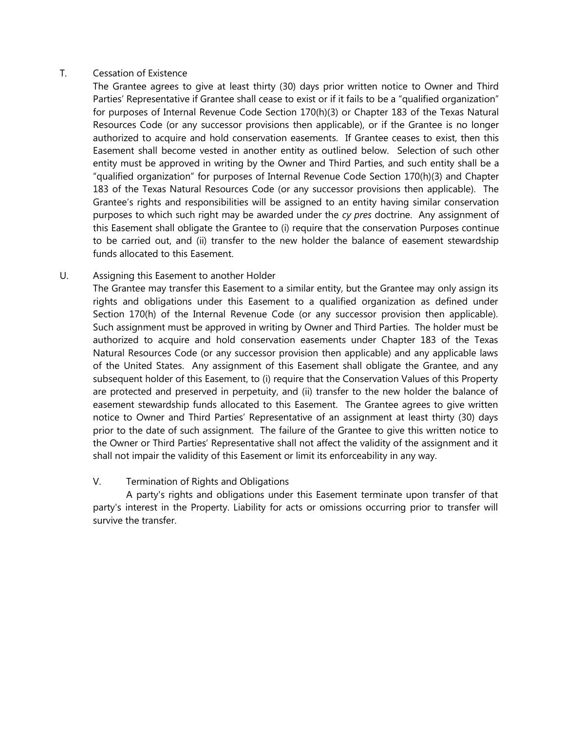### T. Cessation of Existence

The Grantee agrees to give at least thirty (30) days prior written notice to Owner and Third Parties' Representative if Grantee shall cease to exist or if it fails to be a "qualified organization" for purposes of Internal Revenue Code Section 170(h)(3) or Chapter 183 of the Texas Natural Resources Code (or any successor provisions then applicable), or if the Grantee is no longer authorized to acquire and hold conservation easements. If Grantee ceases to exist, then this Easement shall become vested in another entity as outlined below. Selection of such other entity must be approved in writing by the Owner and Third Parties, and such entity shall be a "qualified organization" for purposes of Internal Revenue Code Section 170(h)(3) and Chapter 183 of the Texas Natural Resources Code (or any successor provisions then applicable). The Grantee's rights and responsibilities will be assigned to an entity having similar conservation purposes to which such right may be awarded under the *cy pres* doctrine. Any assignment of this Easement shall obligate the Grantee to (i) require that the conservation Purposes continue to be carried out, and (ii) transfer to the new holder the balance of easement stewardship funds allocated to this Easement.

### U. Assigning this Easement to another Holder

The Grantee may transfer this Easement to a similar entity, but the Grantee may only assign its rights and obligations under this Easement to a qualified organization as defined under Section 170(h) of the Internal Revenue Code (or any successor provision then applicable). Such assignment must be approved in writing by Owner and Third Parties. The holder must be authorized to acquire and hold conservation easements under Chapter 183 of the Texas Natural Resources Code (or any successor provision then applicable) and any applicable laws of the United States. Any assignment of this Easement shall obligate the Grantee, and any subsequent holder of this Easement, to (i) require that the Conservation Values of this Property are protected and preserved in perpetuity, and (ii) transfer to the new holder the balance of easement stewardship funds allocated to this Easement. The Grantee agrees to give written notice to Owner and Third Parties' Representative of an assignment at least thirty (30) days prior to the date of such assignment. The failure of the Grantee to give this written notice to the Owner or Third Parties' Representative shall not affect the validity of the assignment and it shall not impair the validity of this Easement or limit its enforceability in any way.

### V. Termination of Rights and Obligations

A party's rights and obligations under this Easement terminate upon transfer of that party's interest in the Property. Liability for acts or omissions occurring prior to transfer will survive the transfer.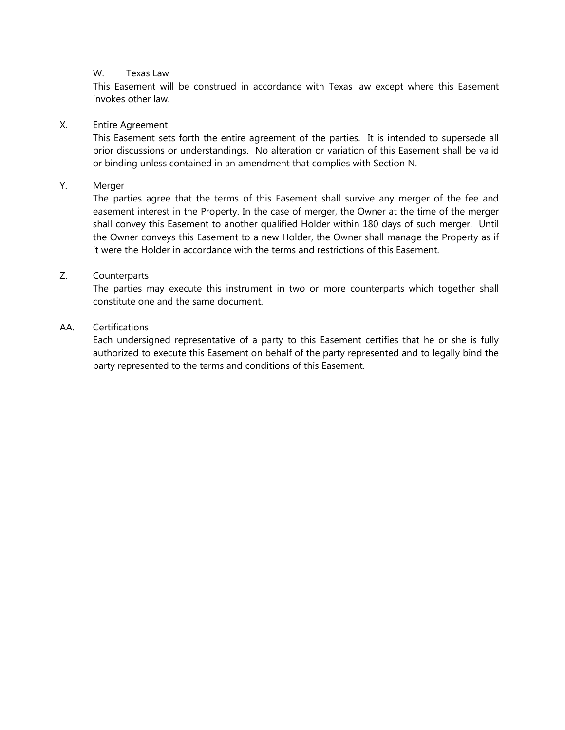#### W. Texas Law

This Easement will be construed in accordance with Texas law except where this Easement invokes other law.

#### X. Entire Agreement

This Easement sets forth the entire agreement of the parties. It is intended to supersede all prior discussions or understandings. No alteration or variation of this Easement shall be valid or binding unless contained in an amendment that complies with Section N.

#### Y. Merger

The parties agree that the terms of this Easement shall survive any merger of the fee and easement interest in the Property. In the case of merger, the Owner at the time of the merger shall convey this Easement to another qualified Holder within 180 days of such merger. Until the Owner conveys this Easement to a new Holder, the Owner shall manage the Property as if it were the Holder in accordance with the terms and restrictions of this Easement.

#### Z. Counterparts

The parties may execute this instrument in two or more counterparts which together shall constitute one and the same document.

#### AA. Certifications

Each undersigned representative of a party to this Easement certifies that he or she is fully authorized to execute this Easement on behalf of the party represented and to legally bind the party represented to the terms and conditions of this Easement.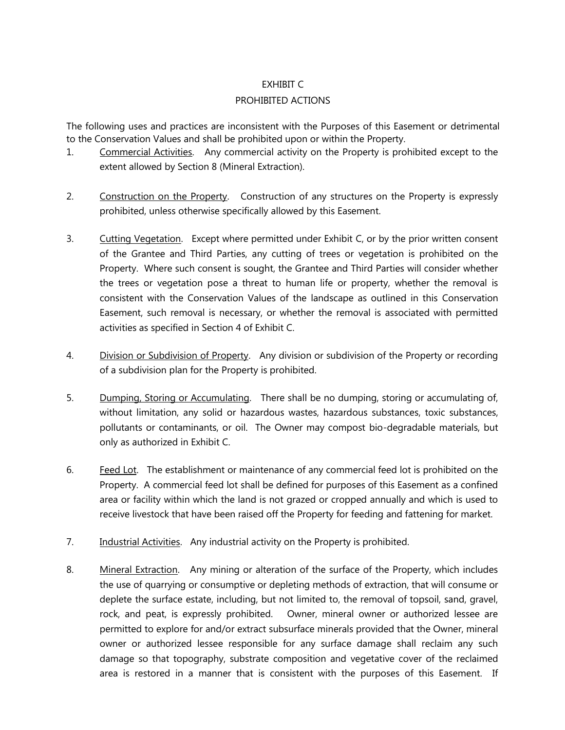### EXHIBIT C

### PROHIBITED ACTIONS

The following uses and practices are inconsistent with the Purposes of this Easement or detrimental to the Conservation Values and shall be prohibited upon or within the Property.

- 1. Commercial Activities. Any commercial activity on the Property is prohibited except to the extent allowed by Section 8 (Mineral Extraction).
- 2. Construction on the Property. Construction of any structures on the Property is expressly prohibited, unless otherwise specifically allowed by this Easement.
- 3. Cutting Vegetation. Except where permitted under Exhibit C, or by the prior written consent of the Grantee and Third Parties, any cutting of trees or vegetation is prohibited on the Property. Where such consent is sought, the Grantee and Third Parties will consider whether the trees or vegetation pose a threat to human life or property, whether the removal is consistent with the Conservation Values of the landscape as outlined in this Conservation Easement, such removal is necessary, or whether the removal is associated with permitted activities as specified in Section 4 of Exhibit C.
- 4. Division or Subdivision of Property. Any division or subdivision of the Property or recording of a subdivision plan for the Property is prohibited.
- 5. Dumping, Storing or Accumulating. There shall be no dumping, storing or accumulating of, without limitation, any solid or hazardous wastes, hazardous substances, toxic substances, pollutants or contaminants, or oil. The Owner may compost bio-degradable materials, but only as authorized in Exhibit C.
- 6. **Feed Lot.** The establishment or maintenance of any commercial feed lot is prohibited on the Property. A commercial feed lot shall be defined for purposes of this Easement as a confined area or facility within which the land is not grazed or cropped annually and which is used to receive livestock that have been raised off the Property for feeding and fattening for market.
- 7. **Industrial Activities.** Any industrial activity on the Property is prohibited.
- 8. Mineral Extraction. Any mining or alteration of the surface of the Property, which includes the use of quarrying or consumptive or depleting methods of extraction, that will consume or deplete the surface estate, including, but not limited to, the removal of topsoil, sand, gravel, rock, and peat, is expressly prohibited. Owner, mineral owner or authorized lessee are permitted to explore for and/or extract subsurface minerals provided that the Owner, mineral owner or authorized lessee responsible for any surface damage shall reclaim any such damage so that topography, substrate composition and vegetative cover of the reclaimed area is restored in a manner that is consistent with the purposes of this Easement. If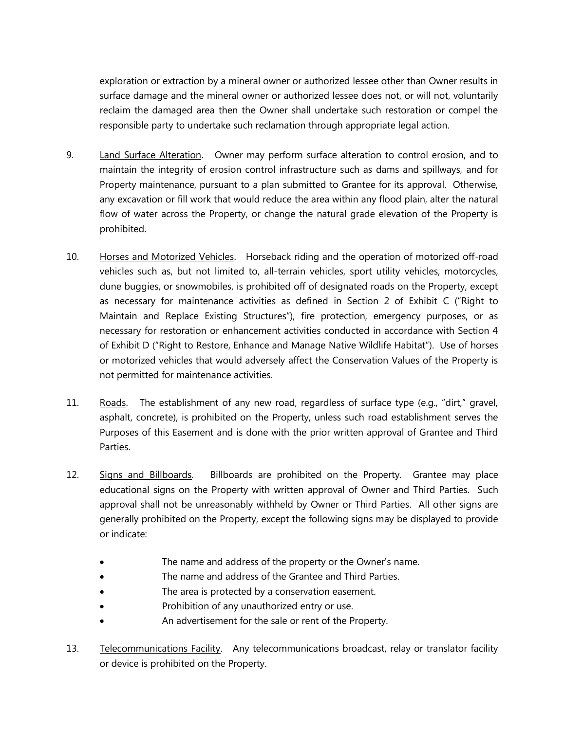exploration or extraction by a mineral owner or authorized lessee other than Owner results in surface damage and the mineral owner or authorized lessee does not, or will not, voluntarily reclaim the damaged area then the Owner shall undertake such restoration or compel the responsible party to undertake such reclamation through appropriate legal action.

- 9. Land Surface Alteration. Owner may perform surface alteration to control erosion, and to maintain the integrity of erosion control infrastructure such as dams and spillways, and for Property maintenance, pursuant to a plan submitted to Grantee for its approval. Otherwise, any excavation or fill work that would reduce the area within any flood plain, alter the natural flow of water across the Property, or change the natural grade elevation of the Property is prohibited.
- 10. Horses and Motorized Vehicles. Horseback riding and the operation of motorized off-road vehicles such as, but not limited to, all-terrain vehicles, sport utility vehicles, motorcycles, dune buggies, or snowmobiles, is prohibited off of designated roads on the Property, except as necessary for maintenance activities as defined in Section 2 of Exhibit C ("Right to Maintain and Replace Existing Structures"), fire protection, emergency purposes, or as necessary for restoration or enhancement activities conducted in accordance with Section 4 of Exhibit D ("Right to Restore, Enhance and Manage Native Wildlife Habitat"). Use of horses or motorized vehicles that would adversely affect the Conservation Values of the Property is not permitted for maintenance activities.
- 11. Roads. The establishment of any new road, regardless of surface type (e.g., "dirt," gravel, asphalt, concrete), is prohibited on the Property, unless such road establishment serves the Purposes of this Easement and is done with the prior written approval of Grantee and Third Parties.
- 12. Signs and Billboards. Billboards are prohibited on the Property. Grantee may place educational signs on the Property with written approval of Owner and Third Parties. Such approval shall not be unreasonably withheld by Owner or Third Parties. All other signs are generally prohibited on the Property, except the following signs may be displayed to provide or indicate:
	- The name and address of the property or the Owner's name.
	- The name and address of the Grantee and Third Parties.
	- The area is protected by a conservation easement.
	- Prohibition of any unauthorized entry or use.
	- An advertisement for the sale or rent of the Property.
- 13. Telecommunications Facility. Any telecommunications broadcast, relay or translator facility or device is prohibited on the Property.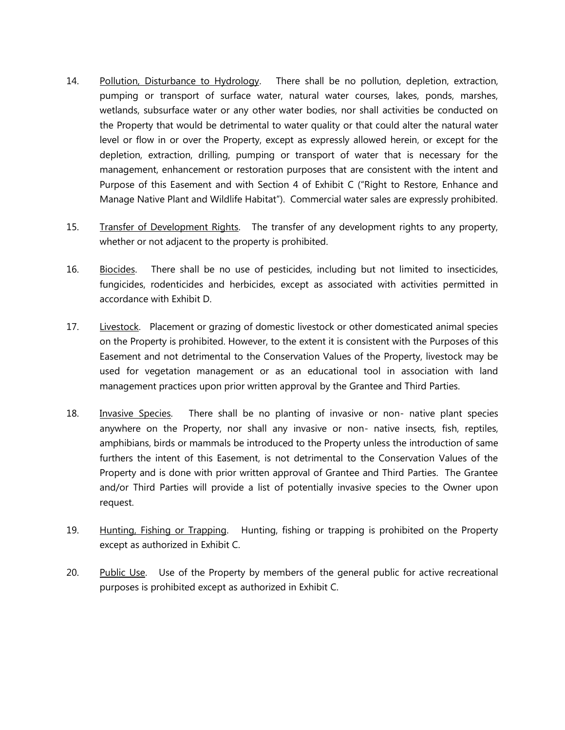- 14. Pollution, Disturbance to Hydrology. There shall be no pollution, depletion, extraction, pumping or transport of surface water, natural water courses, lakes, ponds, marshes, wetlands, subsurface water or any other water bodies, nor shall activities be conducted on the Property that would be detrimental to water quality or that could alter the natural water level or flow in or over the Property, except as expressly allowed herein, or except for the depletion, extraction, drilling, pumping or transport of water that is necessary for the management, enhancement or restoration purposes that are consistent with the intent and Purpose of this Easement and with Section 4 of Exhibit C ("Right to Restore, Enhance and Manage Native Plant and Wildlife Habitat"). Commercial water sales are expressly prohibited.
- 15. Transfer of Development Rights. The transfer of any development rights to any property, whether or not adjacent to the property is prohibited.
- 16. Biocides. There shall be no use of pesticides, including but not limited to insecticides, fungicides, rodenticides and herbicides, except as associated with activities permitted in accordance with Exhibit D.
- 17. Livestock. Placement or grazing of domestic livestock or other domesticated animal species on the Property is prohibited. However, to the extent it is consistent with the Purposes of this Easement and not detrimental to the Conservation Values of the Property, livestock may be used for vegetation management or as an educational tool in association with land management practices upon prior written approval by the Grantee and Third Parties.
- 18. Invasive Species. There shall be no planting of invasive or non- native plant species anywhere on the Property, nor shall any invasive or non- native insects, fish, reptiles, amphibians, birds or mammals be introduced to the Property unless the introduction of same furthers the intent of this Easement, is not detrimental to the Conservation Values of the Property and is done with prior written approval of Grantee and Third Parties. The Grantee and/or Third Parties will provide a list of potentially invasive species to the Owner upon request.
- 19. Hunting, Fishing or Trapping. Hunting, fishing or trapping is prohibited on the Property except as authorized in Exhibit C.
- 20. Public Use. Use of the Property by members of the general public for active recreational purposes is prohibited except as authorized in Exhibit C.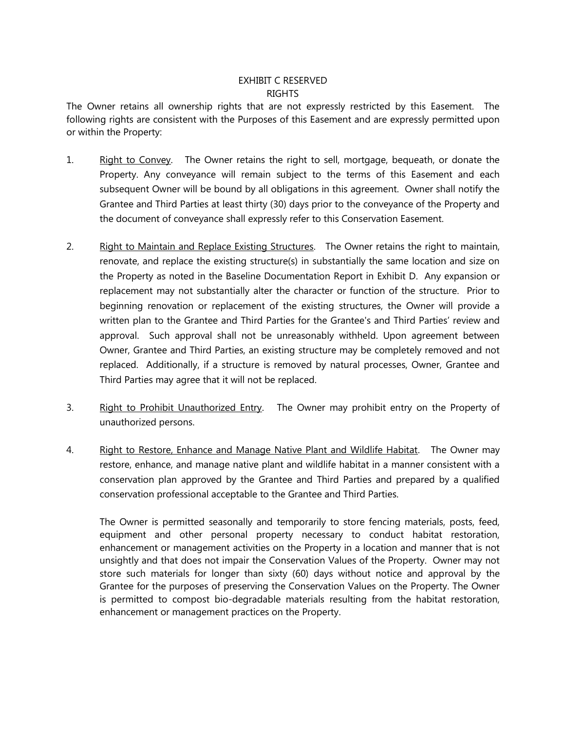### EXHIBIT C RESERVED RIGHTS

The Owner retains all ownership rights that are not expressly restricted by this Easement. The following rights are consistent with the Purposes of this Easement and are expressly permitted upon or within the Property:

- 1. Right to Convey. The Owner retains the right to sell, mortgage, bequeath, or donate the Property. Any conveyance will remain subject to the terms of this Easement and each subsequent Owner will be bound by all obligations in this agreement. Owner shall notify the Grantee and Third Parties at least thirty (30) days prior to the conveyance of the Property and the document of conveyance shall expressly refer to this Conservation Easement.
- 2. Right to Maintain and Replace Existing Structures. The Owner retains the right to maintain, renovate, and replace the existing structure(s) in substantially the same location and size on the Property as noted in the Baseline Documentation Report in Exhibit D. Any expansion or replacement may not substantially alter the character or function of the structure. Prior to beginning renovation or replacement of the existing structures, the Owner will provide a written plan to the Grantee and Third Parties for the Grantee's and Third Parties' review and approval. Such approval shall not be unreasonably withheld. Upon agreement between Owner, Grantee and Third Parties, an existing structure may be completely removed and not replaced. Additionally, if a structure is removed by natural processes, Owner, Grantee and Third Parties may agree that it will not be replaced.
- 3. Right to Prohibit Unauthorized Entry. The Owner may prohibit entry on the Property of unauthorized persons.
- 4. Right to Restore, Enhance and Manage Native Plant and Wildlife Habitat. The Owner may restore, enhance, and manage native plant and wildlife habitat in a manner consistent with a conservation plan approved by the Grantee and Third Parties and prepared by a qualified conservation professional acceptable to the Grantee and Third Parties.

The Owner is permitted seasonally and temporarily to store fencing materials, posts, feed, equipment and other personal property necessary to conduct habitat restoration, enhancement or management activities on the Property in a location and manner that is not unsightly and that does not impair the Conservation Values of the Property. Owner may not store such materials for longer than sixty (60) days without notice and approval by the Grantee for the purposes of preserving the Conservation Values on the Property. The Owner is permitted to compost bio-degradable materials resulting from the habitat restoration, enhancement or management practices on the Property.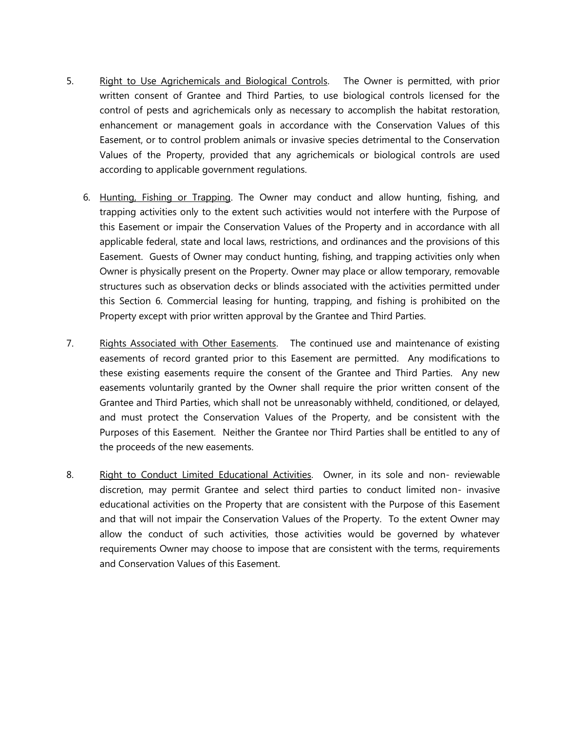- 5. Right to Use Agrichemicals and Biological Controls. The Owner is permitted, with prior written consent of Grantee and Third Parties, to use biological controls licensed for the control of pests and agrichemicals only as necessary to accomplish the habitat restoration, enhancement or management goals in accordance with the Conservation Values of this Easement, or to control problem animals or invasive species detrimental to the Conservation Values of the Property, provided that any agrichemicals or biological controls are used according to applicable government regulations.
	- 6. Hunting, Fishing or Trapping. The Owner may conduct and allow hunting, fishing, and trapping activities only to the extent such activities would not interfere with the Purpose of this Easement or impair the Conservation Values of the Property and in accordance with all applicable federal, state and local laws, restrictions, and ordinances and the provisions of this Easement. Guests of Owner may conduct hunting, fishing, and trapping activities only when Owner is physically present on the Property. Owner may place or allow temporary, removable structures such as observation decks or blinds associated with the activities permitted under this Section 6. Commercial leasing for hunting, trapping, and fishing is prohibited on the Property except with prior written approval by the Grantee and Third Parties.
- 7. Rights Associated with Other Easements. The continued use and maintenance of existing easements of record granted prior to this Easement are permitted. Any modifications to these existing easements require the consent of the Grantee and Third Parties. Any new easements voluntarily granted by the Owner shall require the prior written consent of the Grantee and Third Parties, which shall not be unreasonably withheld, conditioned, or delayed, and must protect the Conservation Values of the Property, and be consistent with the Purposes of this Easement. Neither the Grantee nor Third Parties shall be entitled to any of the proceeds of the new easements.
- 8. Right to Conduct Limited Educational Activities. Owner, in its sole and non- reviewable discretion, may permit Grantee and select third parties to conduct limited non- invasive educational activities on the Property that are consistent with the Purpose of this Easement and that will not impair the Conservation Values of the Property. To the extent Owner may allow the conduct of such activities, those activities would be governed by whatever requirements Owner may choose to impose that are consistent with the terms, requirements and Conservation Values of this Easement.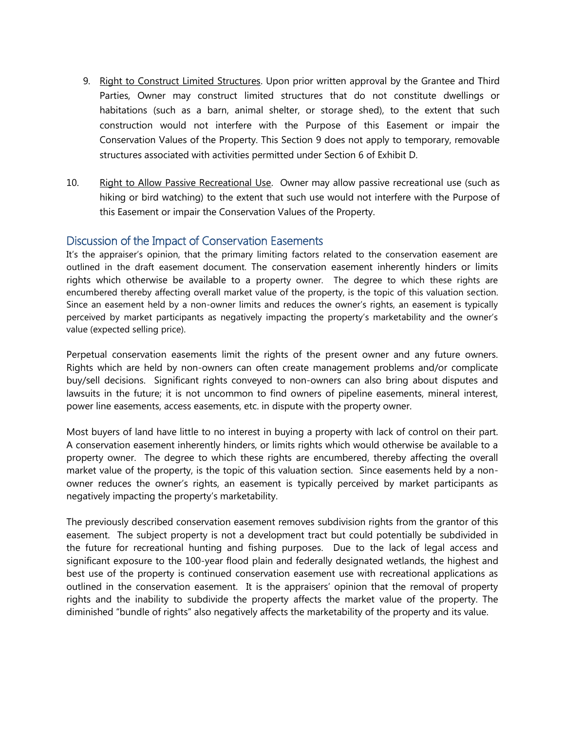- 9. Right to Construct Limited Structures. Upon prior written approval by the Grantee and Third Parties, Owner may construct limited structures that do not constitute dwellings or habitations (such as a barn, animal shelter, or storage shed), to the extent that such construction would not interfere with the Purpose of this Easement or impair the Conservation Values of the Property. This Section 9 does not apply to temporary, removable structures associated with activities permitted under Section 6 of Exhibit D.
- 10. Right to Allow Passive Recreational Use. Owner may allow passive recreational use (such as hiking or bird watching) to the extent that such use would not interfere with the Purpose of this Easement or impair the Conservation Values of the Property.

# Discussion of the Impact of Conservation Easements

It's the appraiser's opinion, that the primary limiting factors related to the conservation easement are outlined in the draft easement document. The conservation easement inherently hinders or limits rights which otherwise be available to a property owner. The degree to which these rights are encumbered thereby affecting overall market value of the property, is the topic of this valuation section. Since an easement held by a non-owner limits and reduces the owner's rights, an easement is typically perceived by market participants as negatively impacting the property's marketability and the owner's value (expected selling price).

Perpetual conservation easements limit the rights of the present owner and any future owners. Rights which are held by non-owners can often create management problems and/or complicate buy/sell decisions. Significant rights conveyed to non-owners can also bring about disputes and lawsuits in the future; it is not uncommon to find owners of pipeline easements, mineral interest, power line easements, access easements, etc. in dispute with the property owner.

Most buyers of land have little to no interest in buying a property with lack of control on their part. A conservation easement inherently hinders, or limits rights which would otherwise be available to a property owner. The degree to which these rights are encumbered, thereby affecting the overall market value of the property, is the topic of this valuation section. Since easements held by a nonowner reduces the owner's rights, an easement is typically perceived by market participants as negatively impacting the property's marketability.

The previously described conservation easement removes subdivision rights from the grantor of this easement. The subject property is not a development tract but could potentially be subdivided in the future for recreational hunting and fishing purposes. Due to the lack of legal access and significant exposure to the 100-year flood plain and federally designated wetlands, the highest and best use of the property is continued conservation easement use with recreational applications as outlined in the conservation easement. It is the appraisers' opinion that the removal of property rights and the inability to subdivide the property affects the market value of the property. The diminished "bundle of rights" also negatively affects the marketability of the property and its value.